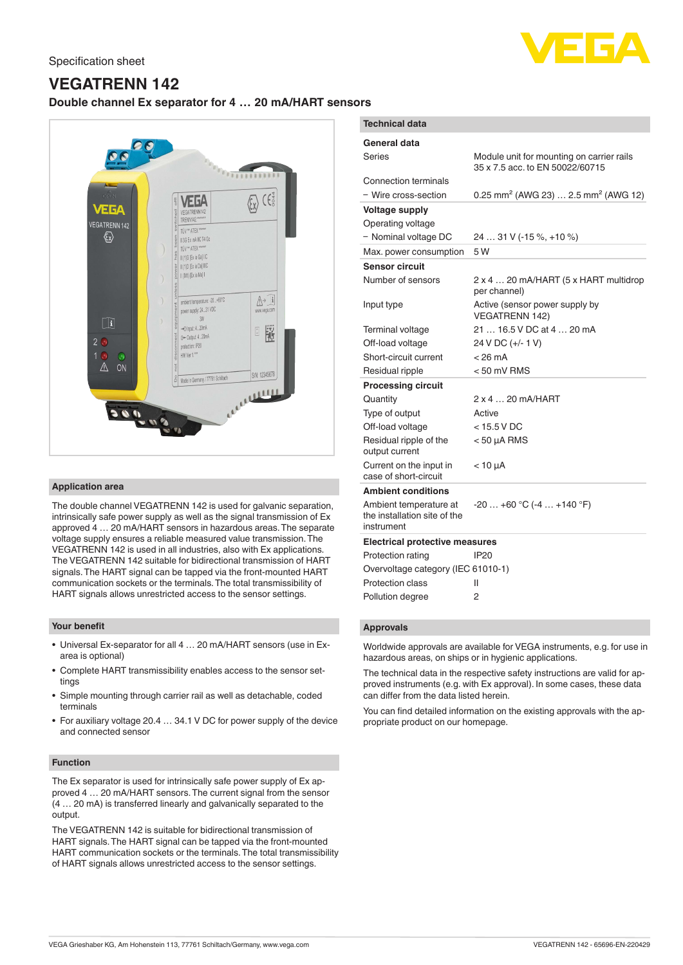

# **VEGATRENN 142**

# **Double channel Ex separator for 4 … 20 mA/HART sensors**



## **Application area**

The double channel VEGATRENN 142 is used for galvanic separation, intrinsically safe power supply as well as the signal transmission of Ex approved 4 … 20 mA/HART sensors in hazardous areas. The separate voltage supply ensures a reliable measured value transmission. The VEGATRENN 142 is used in all industries, also with Ex applications. The VEGATRENN 142 suitable for bidirectional transmission of HART signals. The HART signal can be tapped via the front-mounted HART communication sockets or the terminals. The total transmissibility of HART signals allows unrestricted access to the sensor settings.

### **Your benefit**

- Universal Ex-separator for all 4 … 20 mA/HART sensors (use in Exarea is optional)
- Complete HART transmissibility enables access to the sensor settings
- Simple mounting through carrier rail as well as detachable, coded terminals
- For auxiliary voltage 20.4 … 34.1 V DC for power supply of the device and connected sensor

## **Function**

The Ex separator is used for intrinsically safe power supply of Ex approved 4 … 20 mA/HART sensors. The current signal from the sensor (4 … 20 mA) is transferred linearly and galvanically separated to the output.

The VEGATRENN 142 is suitable for bidirectional transmission of HART signals. The HART signal can be tapped via the front-mounted HART communication sockets or the terminals. The total transmissibility of HART signals allows unrestricted access to the sensor settings.

| <b>Technical data</b>                                                |                                                                              |
|----------------------------------------------------------------------|------------------------------------------------------------------------------|
| General data<br>Series                                               | Module unit for mounting on carrier rails<br>35 x 7.5 acc. to EN 50022/60715 |
| Connection terminals<br>- Wire cross-section                         | 0.25 mm <sup>2</sup> (AWG 23)  2.5 mm <sup>2</sup> (AWG 12)                  |
| <b>Voltage supply</b><br>Operating voltage<br>- Nominal voltage DC   | 24  31 V (-15 %, +10 %)                                                      |
| Max. power consumption                                               | 5 W                                                                          |
| <b>Sensor circuit</b>                                                |                                                                              |
| Number of sensors                                                    | 2 x 4  20 mA/HART (5 x HART multidrop<br>per channel)                        |
| Input type                                                           | Active (sensor power supply by<br><b>VEGATRENN 142)</b>                      |
| Terminal voltage                                                     | 21  16.5 V DC at 4  20 mA                                                    |
| Off-load voltage                                                     | 24 V DC (+/- 1 V)                                                            |
| Short-circuit current                                                | $< 26 \text{ mA}$                                                            |
| Residual ripple                                                      | $< 50$ mV RMS                                                                |
| <b>Processing circuit</b>                                            |                                                                              |
| Quantity                                                             | $2 \times 4$ 20 mA/HART                                                      |
| Type of output                                                       | Active                                                                       |
| Off-load voltage                                                     | $<$ 15.5 V DC                                                                |
| Residual ripple of the<br>output current                             | $<$ 50 $\mu$ A RMS                                                           |
| Current on the input in<br>case of short-circuit                     | $<$ 10 $\mu$ A                                                               |
| <b>Ambient conditions</b>                                            |                                                                              |
| Ambient temperature at<br>the installation site of the<br>instrument | $-20+60$ °C (-4  +140 °F)                                                    |
| <b>Electrical protective measures</b>                                |                                                                              |
| Protection rating                                                    | <b>IP20</b>                                                                  |
| Overvoltage category (IEC 61010-1)                                   |                                                                              |
| <b>Protection class</b>                                              | Ш                                                                            |
| Pollution degree                                                     | 2                                                                            |
|                                                                      |                                                                              |

# **Approvals**

Worldwide approvals are available for VEGA instruments, e.g. for use in hazardous areas, on ships or in hygienic applications.

The technical data in the respective safety instructions are valid for approved instruments (e.g. with Ex approval). In some cases, these data can differ from the data listed herein.

You can find detailed information on the existing approvals with the appropriate product on our homepage.